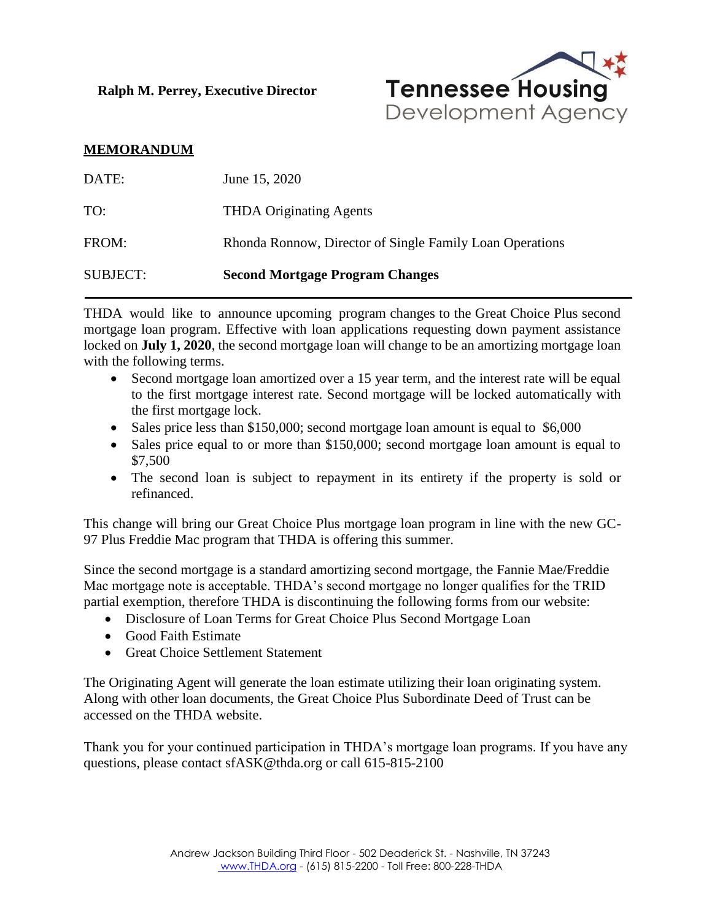**Ralph M. Perrey, Executive Director**



## **MEMORANDUM**

| <b>SUBJECT:</b> | <b>Second Mortgage Program Changes</b>                   |
|-----------------|----------------------------------------------------------|
| FROM:           | Rhonda Ronnow, Director of Single Family Loan Operations |
| TO:             | <b>THDA Originating Agents</b>                           |
| DATE:           | June 15, 2020                                            |

THDA would like to announce upcoming program changes to the Great Choice Plus second mortgage loan program. Effective with loan applications requesting down payment assistance locked on **July 1, 2020**, the second mortgage loan will change to be an amortizing mortgage loan with the following terms.

- Second mortgage loan amortized over a 15 year term, and the interest rate will be equal to the first mortgage interest rate. Second mortgage will be locked automatically with the first mortgage lock.
- Sales price less than \$150,000; second mortgage loan amount is equal to \$6,000
- Sales price equal to or more than \$150,000; second mortgage loan amount is equal to \$7,500
- The second loan is subject to repayment in its entirety if the property is sold or refinanced.

This change will bring our Great Choice Plus mortgage loan program in line with the new GC-97 Plus Freddie Mac program that THDA is offering this summer.

Since the second mortgage is a standard amortizing second mortgage, the Fannie Mae/Freddie Mac mortgage note is acceptable. THDA's second mortgage no longer qualifies for the TRID partial exemption, therefore THDA is discontinuing the following forms from our website:

- Disclosure of Loan Terms for Great Choice Plus Second Mortgage Loan
- Good Faith Estimate
- Great Choice Settlement Statement

The Originating Agent will generate the loan estimate utilizing their loan originating system. Along with other loan documents, the Great Choice Plus Subordinate Deed of Trust can be accessed on the THDA website.

Thank you for your continued participation in THDA's mortgage loan programs. If you have any questions, please contact sfASK@thda.org or call 615-815-2100